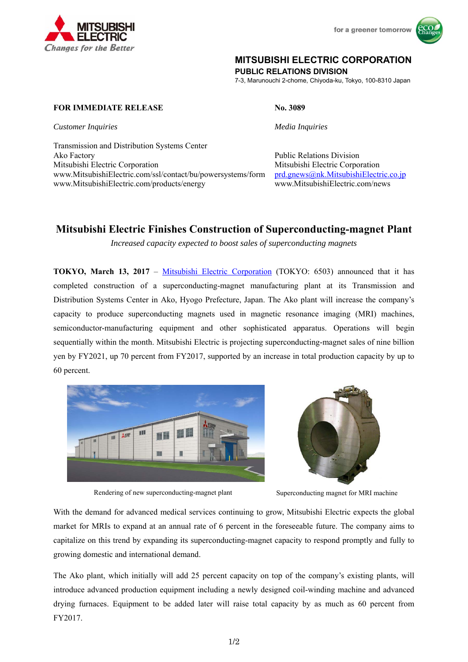



# **MITSUBISHI ELECTRIC CORPORATION**

**PUBLIC RELATIONS DIVISION** 

7-3, Marunouchi 2-chome, Chiyoda-ku, Tokyo, 100-8310 Japan

# **FOR IMMEDIATE RELEASE No. 3089**

*Customer Inquiries Media Inquiries* 

Transmission and Distribution Systems Center Ako Factory **Public Relations Division** Mitsubishi Electric Corporation Mitsubishi Electric Corporation www.MitsubishiElectric.com/ssl/contact/bu/powersystems/form prd.gnews@nk.MitsubishiElectric.co.jp www.MitsubishiElectric.com/products/energy www.MitsubishiElectric.com/news

# **Mitsubishi Electric Finishes Construction of Superconducting-magnet Plant**

*Increased capacity expected to boost sales of superconducting magnets* 

**TOKYO, March 13, 2017** – Mitsubishi Electric Corporation (TOKYO: 6503) announced that it has completed construction of a superconducting-magnet manufacturing plant at its Transmission and Distribution Systems Center in Ako, Hyogo Prefecture, Japan. The Ako plant will increase the company's capacity to produce superconducting magnets used in magnetic resonance imaging (MRI) machines, semiconductor-manufacturing equipment and other sophisticated apparatus. Operations will begin sequentially within the month. Mitsubishi Electric is projecting superconducting-magnet sales of nine billion yen by FY2021, up 70 percent from FY2017, supported by an increase in total production capacity by up to 60 percent.



Rendering of new superconducting-magnet plant Superconducting magnet for MRI machine



With the demand for advanced medical services continuing to grow, Mitsubishi Electric expects the global market for MRIs to expand at an annual rate of 6 percent in the foreseeable future. The company aims to capitalize on this trend by expanding its superconducting-magnet capacity to respond promptly and fully to growing domestic and international demand.

The Ako plant, which initially will add 25 percent capacity on top of the company's existing plants, will introduce advanced production equipment including a newly designed coil-winding machine and advanced drying furnaces. Equipment to be added later will raise total capacity by as much as 60 percent from FY2017.